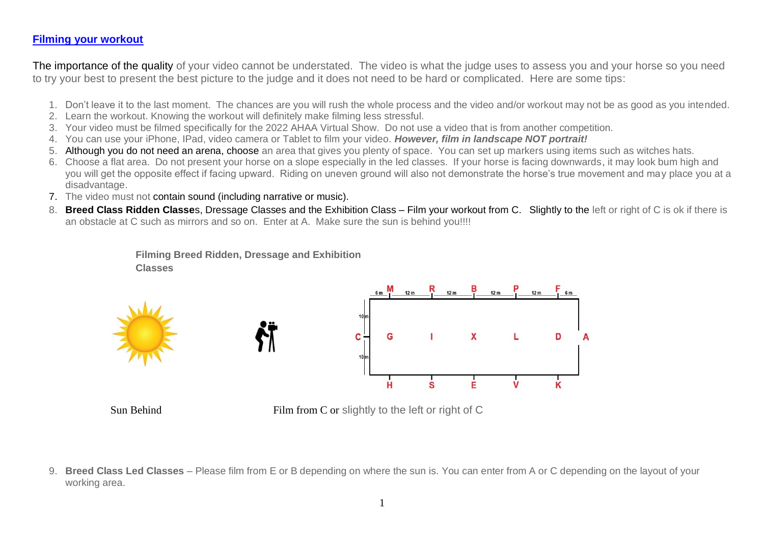#### <span id="page-0-0"></span>**[Filming your workout](#page-0-0)**

The importance of the quality of your video cannot be understated. The video is what the judge uses to assess you and your horse so you need to try your best to present the best picture to the judge and it does not need to be hard or complicated. Here are some tips:

- 1. Don't leave it to the last moment. The chances are you will rush the whole process and the video and/or workout may not be as good as you intended.
- 2. Learn the workout. Knowing the workout will definitely make filming less stressful.
- 3. Your video must be filmed specifically for the 2022 AHAA Virtual Show. Do not use a video that is from another competition.
- 4. You can use your iPhone, IPad, video camera or Tablet to film your video. *However, film in landscape NOT portrait!*
- 5. Although you do not need an arena, choose an area that gives you plenty of space. You can set up markers using items such as witches hats.
- 6. Choose a flat area. Do not present your horse on a slope especially in the led classes. If your horse is facing downwards, it may look bum high and you will get the opposite effect if facing upward. Riding on uneven ground will also not demonstrate the horse's true movement and may place you at a disadvantage.
- 7. The video must not contain sound (including narrative or music).
- 8. **Breed Class Ridden Classe**s, Dressage Classes and the Exhibition Class Film your workout from C. Slightly to the left or right of C is ok if there is an obstacle at C such as mirrors and so on. Enter at A. Make sure the sun is behind you!!!!

**Filming Breed Ridden, Dressage and Exhibition Classes**







Sun Behind Film from C or slightly to the left or right of C

9. **Breed Class Led Classes** – Please film from E or B depending on where the sun is. You can enter from A or C depending on the layout of your working area.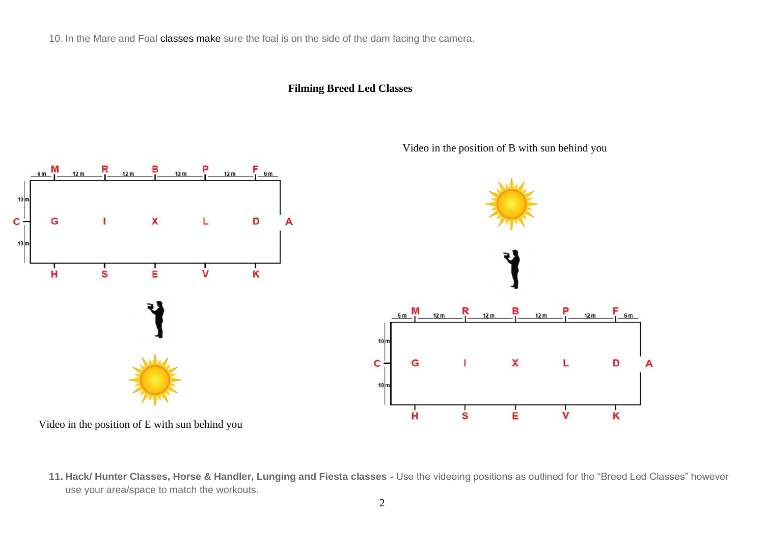10. In the Mare and Foal classes make sure the foal is on the side of the dam facing the camera.

# **Filming Breed Led Classes**



Video in the position of B with sun behind you

**11. Hack/ Hunter Classes, Horse & Handler, Lunging and Fiesta classes -** Use the videoing positions as outlined for the "Breed Led Classes" however use your area/space to match the workouts.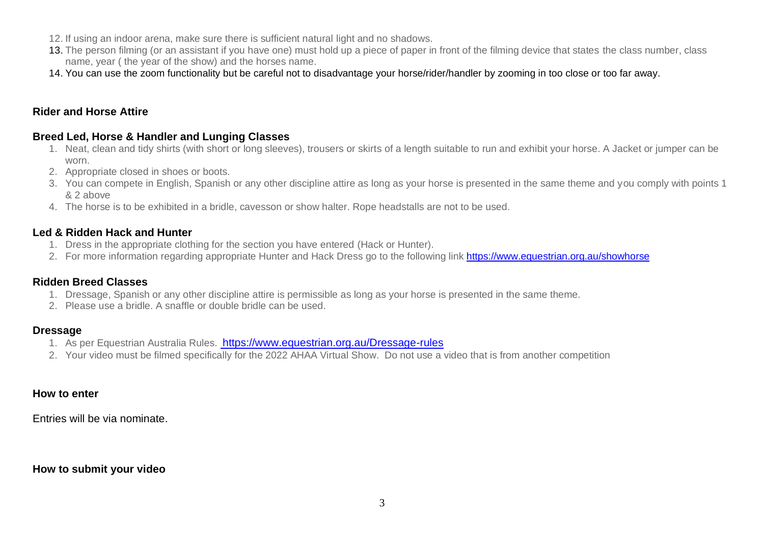- 12. If using an indoor arena, make sure there is sufficient natural light and no shadows.
- 13. The person filming (or an assistant if you have one) must hold up a piece of paper in front of the filming device that states the class number, class name, year ( the year of the show) and the horses name.
- 14. You can use the zoom functionality but be careful not to disadvantage your horse/rider/handler by zooming in too close or too far away.

## **Rider and Horse Attire**

### **Breed Led, Horse & Handler and Lunging Classes**

- 1. Neat, clean and tidy shirts (with short or long sleeves), trousers or skirts of a length suitable to run and exhibit your horse. A Jacket or jumper can be worn.
- 2. Appropriate closed in shoes or boots.
- 3. You can compete in English, Spanish or any other discipline attire as long as your horse is presented in the same theme and you comply with points 1 & 2 above
- 4. The horse is to be exhibited in a bridle, cavesson or show halter. Rope headstalls are not to be used.

### **Led & Ridden Hack and Hunter**

- 1. Dress in the appropriate clothing for the section you have entered (Hack or Hunter).
- 2. For more information regarding appropriate Hunter and Hack Dress go to the following link <https://www.equestrian.org.au/showhorse>

### **Ridden Breed Classes**

- 1. Dressage, Spanish or any other discipline attire is permissible as long as your horse is presented in the same theme.
- 2. Please use a bridle. A snaffle or double bridle can be used.

### **Dressage**

- 1. As per Equestrian Australia Rules. <https://www.equestrian.org.au/Dressage-rules>
- 2. Your video must be filmed specifically for the 2022 AHAA Virtual Show. Do not use a video that is from another competition

### **How to enter**

Entries will be via nominate.

### **How to submit your video**